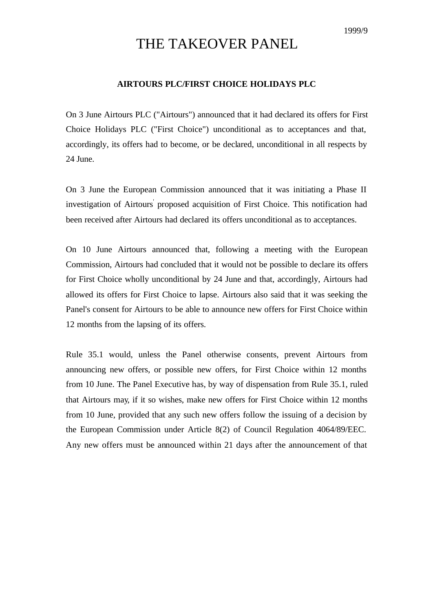## THE TAKEOVER PANEL

## **AIRTOURS PLC/FIRST CHOICE HOLIDAYS PLC**

On 3 June Airtours PLC ("Airtours") announced that it had declared its offers for First Choice Holidays PLC ("First Choice") unconditional as to acceptances and that, accordingly, its offers had to become, or be declared, unconditional in all respects by 24 June.

On 3 June the European Commission announced that it was initiating a Phase II investigation of Airtours proposed acquisition of First Choice. This notification had been received after Airtours had declared its offers unconditional as to acceptances.

On 10 June Airtours announced that, following a meeting with the European Commission, Airtours had concluded that it would not be possible to declare its offers for First Choice wholly unconditional by 24 June and that, accordingly, Airtours had allowed its offers for First Choice to lapse. Airtours also said that it was seeking the Panel's consent for Airtours to be able to announce new offers for First Choice within 12 months from the lapsing of its offers.

Rule 35.1 would, unless the Panel otherwise consents, prevent Airtours from announcing new offers, or possible new offers, for First Choice within 12 months from 10 June. The Panel Executive has, by way of dispensation from Rule 35.1, ruled that Airtours may, if it so wishes, make new offers for First Choice within 12 months from 10 June, provided that any such new offers follow the issuing of a decision by the European Commission under Article 8(2) of Council Regulation 4064/89/EEC. Any new offers must be announced within 21 days after the announcement of that